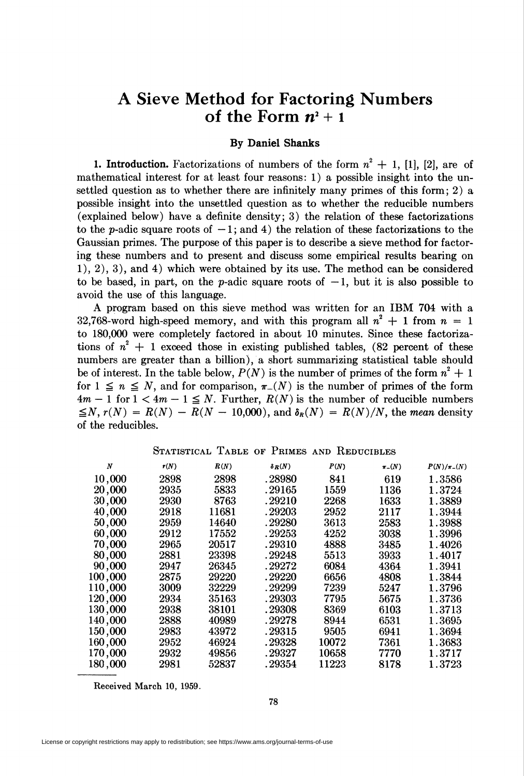## A Sieve Method for Factoring Numbers of the Form  $n^2 + 1$

## By Daniel Shanks

1. Introduction. Factorizations of numbers of the form  $n^2 + 1$ , [1], [2], are of mathematical interest for at least four reasons: 1) a possible insight into the unsettled question as to whether there are infinitely many primes of this form; 2) a possible insight into the unsettled question as to whether the reducible numbers (explained below) have a definite density; 3) the relation of these factorizations to the p-adic square roots of  $-1$ ; and 4) the relation of these factorizations to the Gaussian primes. The purpose of this paper is to describe a sieve method for factoring these numbers and to present and discuss some empirical results bearing on 1), 2), 3), and 4) which were obtained by its use. The method can be considered to be based, in part, on the p-adic square roots of  $-1$ , but it is also possible to avoid the use of this language.

A program based on this sieve method was written for an IBM 704 with a 32,768-word high-speed memory, and with this program all  $n^2 + 1$  from  $n = 1$ to 180,000 were completely factored in about 10 minutes. Since these factorizations of  $n^2 + 1$  exceed those in existing published tables, (82 percent of these numbers are greater than a billion), a short summarizing statistical table should be of interest. In the table below,  $P(N)$  is the number of primes of the form  $n^2 + 1$ for  $1 \leq n \leq N$ , and for comparison,  $\pi_-(N)$  is the number of primes of the form  $4m - 1$  for  $1 < 4m - 1 \leq N$ . Further,  $R(N)$  is the number of reducible numbers  $\leq N$ ,  $r(N) = R(N) - R(N - 10,000)$ , and  $\delta_R(N) = R(N)/N$ , the mean density of the reducibles.

STATISTICAL TABLE OF PRIMES AND REDUCIBLES

| N       | r(N) | R(N)  | $\delta_R(N)$ | P(N)  | $\pi_{-}(N)$ | $P(N)/\pi$ - $(N)$ |
|---------|------|-------|---------------|-------|--------------|--------------------|
| 10,000  | 2898 | 2898  | . 28980       | 841   | 619          | 1.3586             |
| 20,000  | 2935 | 5833  | . 29165       | 1559  | 1136         | 1.3724             |
| 30,000  | 2930 | 8763  | .29210        | 2268  | 1633         | 1.3889             |
| 40,000  | 2918 | 11681 | . 29203       | 2952  | 2117         | 1.3944             |
| 50,000  | 2959 | 14640 | . 29280       | 3613  | 2583         | 1.3988             |
| 60,000  | 2912 | 17552 | . 29253       | 4252  | 3038         | 1.3996             |
| 70,000  | 2965 | 20517 | .29310        | 4888  | 3485         | 1.4026             |
| 80,000  | 2881 | 23398 | . 29248       | 5513  | 3933         | 1.4017             |
| 90,000  | 2947 | 26345 | . 29272       | 6084  | 4364         | 1.3941             |
| 100,000 | 2875 | 29220 | . 29220       | 6656  | 4808         | 1.3844             |
| 110,000 | 3009 | 32229 | . 29299       | 7239  | 5247         | 1.3796             |
| 120,000 | 2934 | 35163 | . 29303       | 7795  | 5675         | 1.3736             |
| 130,000 | 2938 | 38101 | . 29308       | 8369  | 6103         | 1.3713             |
| 140,000 | 2888 | 40989 | . 29278       | 8944  | 6531         | 1.3695             |
| 150,000 | 2983 | 43972 | . 29315       | 9505  | 6941         | 1.3694             |
| 160,000 | 2952 | 46924 | . 29328       | 10072 | 7361         | 1.3683             |
| 170,000 | 2932 | 49856 | . 29327       | 10658 | 7770         | 1.3717             |
| 180,000 | 2981 | 52837 | . 29354       | 11223 | 8178         | 1.3723             |

Received March 10, 1959.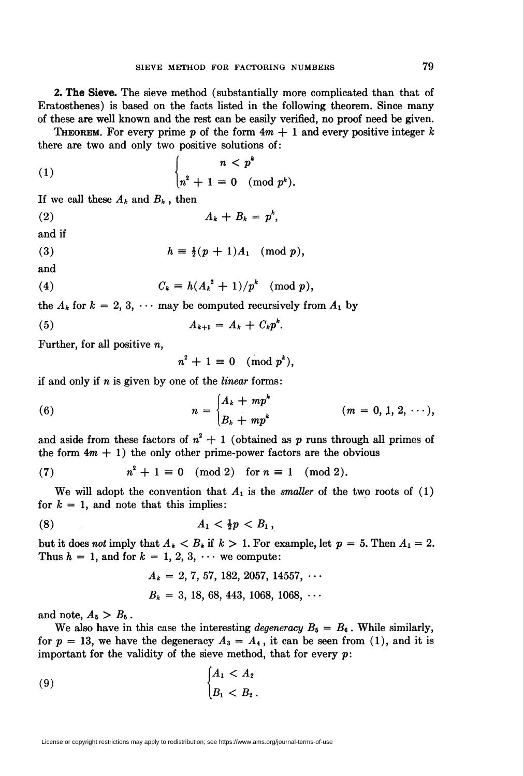2. The Sieve. The sieve method (substantially more complicated than that of Eratosthenes) is based on the facts listed in the following theorem. Since many of these are well known and the rest can be easily verified, no proof need be given.

**THEOREM.** For every prime p of the form  $4m + 1$  and every positive integer k there are two and only two positive solutions of:

$$
(1) \qquad \qquad \begin{cases} \qquad n < p^k \\ n^2 + 1 \equiv 0 \pmod{p^k} .\end{cases}
$$

If we call these  $A_k$  and  $B_k$ , then

(2)  $A_k + B_k = p^k$ ,

and if

$$
(3) \t\t\t h \equiv \tfrac{1}{2}(p+1)A_1 \pmod{p},
$$

and

$$
(4) \tCk \equiv h(Ak2 + 1)/pk \pmod{p},
$$

the  $A_k$  for  $k = 2, 3, \cdots$  may be computed recursively from  $A_1$  by

$$
(5) \hspace{3.1em} A_{k+1} = A_k + C_k p^k.
$$

Further, for all positive  $n$ ,

 $n^2 + 1 \equiv 0 \pmod{p^k}$ ,

if and only if  $n$  is given by one of the *linear* forms:

(6) 
$$
n = \begin{cases} A_k + mp^k \\ B_k + mp^k \end{cases} \qquad (m = 0, 1, 2, \cdots),
$$

and aside from these factors of  $n^2 + 1$  (obtained as p runs through all primes of the form  $4m + 1$ ) the only other prime-power factors are the obvious

(7) 
$$
n^2 + 1 \equiv 0 \pmod{2} \text{ for } n \equiv 1 \pmod{2}
$$

We will adopt the convention that  $A_1$  is the *smaller* of the two roots of (1) for  $k = 1$ , and note that this implies:

$$
(8) \t\t\t A_1 < \tfrac{1}{2}p < B_1,
$$

but it does not imply that  $A_k < B_k$  if  $k > 1$ . For example, let  $p = 5$ . Then  $A_1 = 2$ . Thus  $h = 1$ , and for  $k = 1, 2, 3, \cdots$  we compute:

$$
A_k = 2, 7, 57, 182, 2057, 14557, \cdots
$$
  

$$
B_k = 3, 18, 68, 443, 1068, 1068, \cdots
$$

and note,  $A_5 > B_6$ .

We also have in this case the interesting *degeneracy*  $B_5 = B_6$ . While similarly, for  $p = 13$ , we have the degeneracy  $A_3 = A_4$ , it can be seen from (1), and it is important for the validity of the sieve method, that for every  $p$ :

$$
\begin{cases}\nA_1 < A_2 \\
B_1 < B_2\n\end{cases}
$$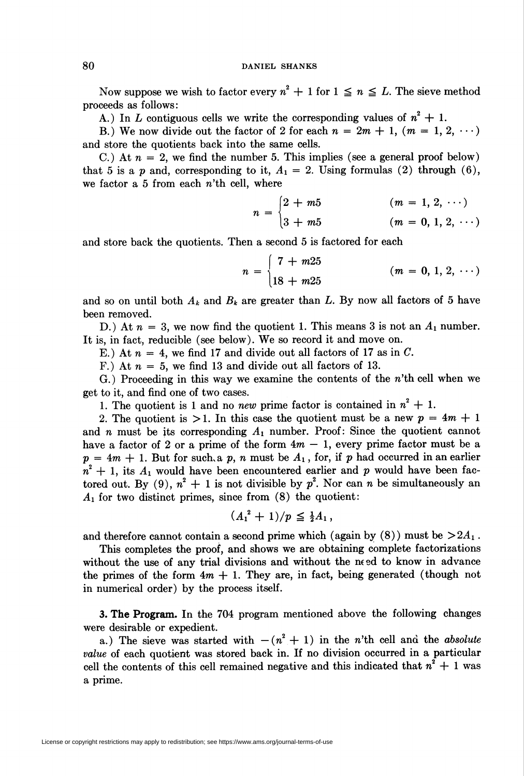Now suppose we wish to factor every  $n^2 + 1$  for  $1 \le n \le L$ . The sieve method proceeds as follows:

A.) In L contiguous cells we write the corresponding values of  $n^2 + 1$ .

B.) We now divide out the factor of 2 for each  $n = 2m + 1$ ,  $(m = 1, 2, \dots)$ and store the quotients back into the same cells.

C.) At  $n = 2$ , we find the number 5. This implies (see a general proof below) that 5 is a p and, corresponding to it,  $A_1 = 2$ . Using formulas (2) through (6), we factor a 5 from each n'th cell, where

$$
n = \begin{cases} 2 + m5 & (m = 1, 2, \cdots) \\ 3 + m5 & (m = 0, 1, 2, \cdots) \end{cases}
$$

and store back the quotients. Then a second 5 is factored for each

$$
n = \begin{cases} 7 + m25 \\ 18 + m25 \end{cases} \qquad (m = 0, 1, 2, \cdots)
$$

and so on until both  $A_k$  and  $B_k$  are greater than L. By now all factors of 5 have been removed.

D.) At  $n = 3$ , we now find the quotient 1. This means 3 is not an  $A_1$  number. It is, in fact, reducible (see below). We so record it and move on.

E.) At  $n = 4$ , we find 17 and divide out all factors of 17 as in C.

F.) At  $n = 5$ , we find 13 and divide out all factors of 13.

G.) Proceeding in this way we examine the contents of the  $n'$ th cell when we get to it, and find one of two cases.

1. The quotient is 1 and no new prime factor is contained in  $n^2 + 1$ .

2. The quotient is  $>1$ . In this case the quotient must be a new  $p = 4m + 1$ and  $n$  must be its corresponding  $A_1$  number. Proof: Since the quotient cannot have a factor of 2 or a prime of the form  $4m - 1$ , every prime factor must be a  $p = 4m + 1$ . But for such, a p, n must be  $A_1$ , for, if p had occurred in an earlier  $n^2 + 1$ , its  $A_1$  would have been encountered earlier and p would have been factored out. By (9),  $n^2 + 1$  is not divisible by  $p^2$ . Nor can n be simultaneously an  $A_1$  for two distinct primes, since from  $(8)$  the quotient:

$$
(A_1^2+1)/p \leq \frac{1}{2}A_1,
$$

and therefore cannot contain a second prime which (again by  $(8)$ ) must be  $>2A<sub>1</sub>$ .

This completes the proof, and shows we are obtaining complete factorizations without the use of any trial divisions and without the need to know in advance the primes of the form  $4m + 1$ . They are, in fact, being generated (though not in numerical order) by the process itself.

3. The Program. In the 704 program mentioned above the following changes were desirable or expedient.

a.) The sieve was started with  $-(n^2+1)$  in the n'th cell and the absolute value of each quotient was stored back in. If no division occurred in a particular cell the contents of this cell remained negative and this indicated that  $n^2 + 1$  was a prime.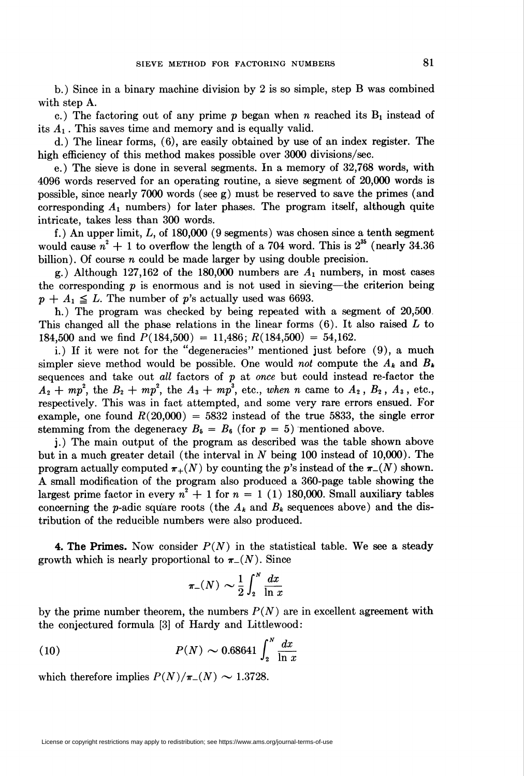b.) Since in a binary machine division by 2 is so simple, step B was combined with step A.

c.) The factoring out of any prime  $p$  began when n reached its  $B_1$  instead of its  $A_1$ . This saves time and memory and is equally valid.

d.) The linear forms, (6), are easily obtained by use of an index register. The high efficiency of this method makes possible over 3000 divisions/sec.

e.) The sieve is done in several segments. In a memory of 32,768 words, with 4096 words reserved for an operating routine, a sieve segment of 20,000 words is possible, since nearly 7000 words (see g) must be reserved to save the primes (and corresponding  $A_1$  numbers) for later phases. The program itself, although quite intricate, takes less than 300 words.

f.) An upper limit,  $L$ , of 180,000 (9 segments) was chosen since a tenth segment would cause  $n^2 + 1$  to overflow the length of a 704 word. This is  $2^{35}$  (nearly 34.36) billion). Of course  $n$  could be made larger by using double precision.

g.) Although 127,162 of the 180,000 numbers are  $A_1$  numbers, in most cases the corresponding  $p$  is enormous and is not used in sieving—the criterion being  $p + A_1 \leq L$ . The number of p's actually used was 6693.

h.) The program was checked by being repeated with a segment of 20,500 This changed all the phase relations in the linear forms  $(6)$ . It also raised  $L$  to 184,500 and we find  $P(184,500) = 11,486$ ;  $R(184,500) = 54,162$ .

i.) If it were not for the "degeneracies" mentioned just before (9), a much simpler sieve method would be possible. One would not compute the  $A_k$  and  $B_k$ sequences and take out all factors of  $p$  at once but could instead re-factor the  $A_2 + mp^2$ , the  $B_2 + mp^2$ , the  $A_3 + mp^3$ , etc., when n came to  $A_2$ ,  $B_2$ ,  $A_3$ , etc., respectively. This was in fact attempted, and some very rare errors ensued. For example, one found  $R(20,000) = 5832$  instead of the true 5833, the single error stemming from the degeneracy  $B_5 = B_6$  (for  $p = 5$ ) mentioned above.

j.) The main output of the program as described was the table shown above but in a much greater detail (the interval in N being 100 instead of 10,000). The program actually computed  $\pi_+(N)$  by counting the p's instead of the  $\pi_-(N)$  shown. A small modification of the program also produced a 360-page table showing the largest prime factor in every  $n^2 + 1$  for  $n = 1$  (1) 180,000. Small auxiliary tables concerning the p-adic square roots (the  $A_k$  and  $B_k$  sequences above) and the distribution of the reducible numbers were also produced.

4. The Primes. Now consider  $P(N)$  in the statistical table. We see a steady growth which is nearly proportional to  $\pi_{-}(N)$ . Since

$$
\pi_-(N) \sim \frac{1}{2} \int_2^N \frac{dx}{\ln x}
$$

by the prime number theorem, the numbers  $P(N)$  are in excellent agreement with the conjectured formula [3] of Hardy and Littlewood:

(10) 
$$
P(N) \sim 0.68641 \int_{2}^{N} \frac{dx}{\ln x}
$$

which therefore implies  $P(N)/\pi_{-}(N) \sim 1.3728$ .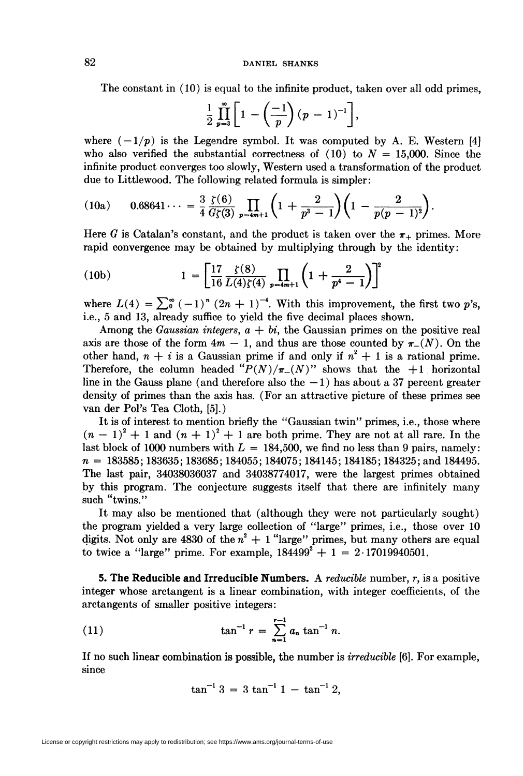## 82 DANIEL SHANKS

The constant in (10) is equal to the infinite product, taken over all odd primes,

$$
\frac{1}{2}\prod_{p=3}^{\infty}\left[1-\left(\frac{-1}{p}\right)(p-1)^{-1}\right],
$$

where  $(-1/p)$  is the Legendre symbol. It was computed by A. E. Western [4] who also verified the substantial correctness of  $(10)$  to  $N = 15,000$ . Since the infinite product converges too slowly, Western used a transformation of the product due to Littlewood. The following related formula is simpler:

(10a) 
$$
0.68641\dots = \frac{3}{4}\frac{\zeta(6)}{G\zeta(3)}\prod_{p=4m+1}\left(1+\frac{2}{p^3-1}\right)\left(1-\frac{2}{p(p-1)^2}\right).
$$

Here G is Catalan's constant, and the product is taken over the  $\pi_+$  primes. More rapid convergence may be obtained by multiplying through by the identity:

(10b) 
$$
1 = \left[\frac{17}{16} \frac{\zeta(8)}{L(4)\zeta(4)} \prod_{p=4m+1} \left(1 + \frac{2}{p^4 - 1}\right)\right]^2
$$

where  $L(4) = \sum_{0}^{\infty} (-1)^{n} (2n + 1)^{-4}$ . With this improvement, the first two p's, i.e., 5 and 13, already suffice to yield the five decimal places shown.

Among the Gaussian integers,  $a + bi$ , the Gaussian primes on the positive real axis are those of the form  $4m - 1$ , and thus are those counted by  $\pi_{-}(N)$ . On the other hand,  $n + i$  is a Gaussian prime if and only if  $n^2 + 1$  is a rational prime. Therefore, the column headed " $P(N)/\pi_{-}(N)$ " shows that the +1 horizontal line in the Gauss plane (and therefore also the  $-1$ ) has about a 37 percent greater density of primes than the axis has. (For an attractive picture of these primes see van der Pol's Tea Cloth, [5].)

It is of interest to mention briefly the "Gaussian twin" primes, i.e., those where  $(n-1)^2 + 1$  and  $(n + 1)^2 + 1$  are both prime. They are not at all rare. In the last block of 1000 numbers with  $L = 184,500$ , we find no less than 9 pairs, namely:  $n = 183585; 183635; 183685; 184055; 184075; 184145; 184185; 184325;$  and 184495. The last pair, 34038036037 and 34038774017, were the largest primes obtained by this program. The conjecture suggests itself that there are infinitely many such "twins."

It may also be mentioned that (although they were not particularly sought) the program yielded a very large collection of "large" primes, i.e., those over 10 digits. Not only are 4830 of the  $n^2 + 1$  "large" primes, but many others are equal to twice a "large" prime. For example,  $184499^2 + 1 = 2.17019940501$ .

5. The Reducible and Irreducible Numbers. A reducible number,  $r$ , is a positive integer whose arctangent is a linear combination, with integer coefficients, of the arctangents of smaller positive integers:

(11) 
$$
\tan^{-1} r = \sum_{n=1}^{r-1} a_n \tan^{-1} n.
$$

If no such linear combination is possible, the number is *irreducible* [6]. For example, since

$$
\tan^{-1} 3 = 3 \tan^{-1} 1 - \tan^{-1} 2,
$$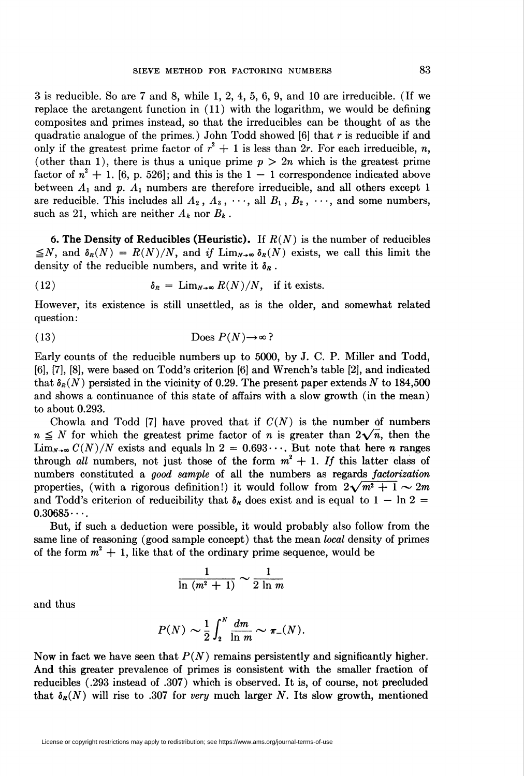3 is reducible. So are 7 and 8, while 1, 2, 4, 5, 6, 9, and 10 are irreducible. (If we replace the arctangent function in (11) with the logarithm, we would be defining composites and primes instead, so that the irreducibles can be thought of as the quadratic analogue of the primes.) John Todd showed  $[6]$  that r is reducible if and only if the greatest prime factor of  $r^2 + 1$  is less than 2r. For each irreducible, n, (other than 1), there is thus a unique prime  $p > 2n$  which is the greatest prime factor of  $n^2 + 1$ . [6, p. 526]; and this is the  $1 - 1$  correspondence indicated above between  $A_1$  and p.  $A_1$  numbers are therefore irreducible, and all others except 1 are reducible. This includes all  $A_2$ ,  $A_3$ ,  $\cdots$ , all  $B_1$ ,  $B_2$ ,  $\cdots$ , and some numbers, such as 21, which are neither  $A_k$  nor  $B_k$ .

6. The Density of Reducibles (Heuristic). If  $R(N)$  is the number of reducibles  $\leq N$ , and  $\delta_R(N) = R(N)/N$ , and if  $\lim_{N\to\infty} \delta_R(N)$  exists, we call this limit the density of the reducible numbers, and write it  $\delta_R$ .

(12) 
$$
\delta_R = \lim_{N \to \infty} R(N)/N, \text{ if it exists.}
$$

However, its existence is still unsettled, as is the older, and somewhat related question :

(13) 
$$
\text{Does } P(N) \to \infty
$$

Early counts of the reducible numbers up to 5000, by J. C. P. Miller and Todd, [6], [7], [8], were based on Todd's criterion [6] and Wrench's table [2], and indicated that  $\delta_R(N)$  persisted in the vicinity of 0.29. The present paper extends N to 184,500 and shows a continuance of this state of affairs with a slow growth (in the mean) to about 0.293.

Chowla and Todd [7] have proved that if  $C(N)$  is the number of numbers  $n \leq N$  for which the greatest prime factor of n is greater than  $2\sqrt{n}$ , then the  $\lim_{N\to\infty}$   $C(N)/N$  exists and equals  $\ln 2 = 0.693\cdots$ . But note that here *n* ranges through all numbers, not just those of the form  $m^2 + 1$ . If this latter class of numbers constituted a good sample of all the numbers as regards factorization properties, (with a rigorous definition!) it would follow from  $2\sqrt{m^2 + 1} \sim 2m$ and Todd's criterion of reducibility that  $\delta_R$  does exist and is equal to 1 – ln 2 =  $0.30685...$ 

But, if such a deduction were possible, it would probably also follow from the same line of reasoning (good sample concept) that the mean *local* density of primes of the form  $m^2 + 1$ , like that of the ordinary prime sequence, would be

$$
\frac{1}{\ln (m^2+1)} \sim \frac{1}{2 \ln m}
$$

and thus

$$
P(N) \sim \frac{1}{2} \int_2^N \frac{dm}{\ln m} \sim \pi_-(N).
$$

Now in fact we have seen that  $P(N)$  remains persistently and significantly higher. And this greater prevalence of primes is consistent with the smaller fraction of reducibles (.293 instead of .307) which is observed. It is, of course, not precluded that  $\delta_R(N)$  will rise to .307 for very much larger N. Its slow growth, mentioned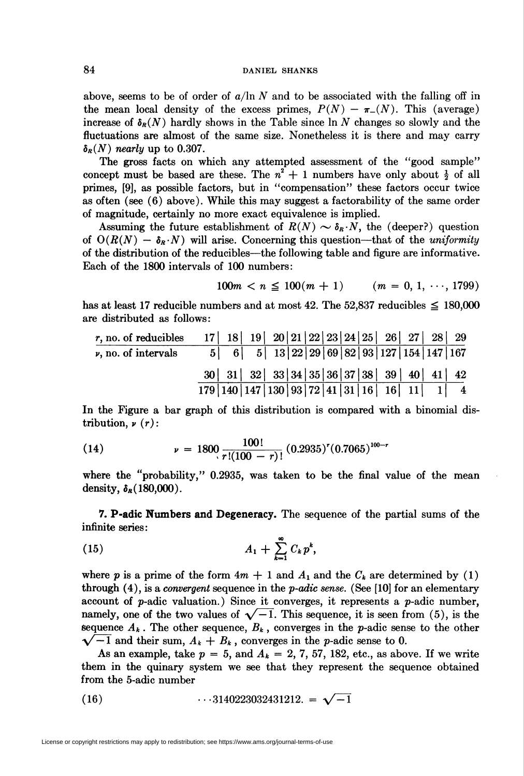above, seems to be of order of  $a/\ln N$  and to be associated with the falling off in the mean local density of the excess primes,  $P(N) - \pi_{-}(N)$ . This (average) increase of  $\delta_R(N)$  hardly shows in the Table since  $\ln N$  changes so slowly and the fluctuations are almost of the same size. Nonetheless it is there and may carry  $\delta_R(N)$  nearly up to 0.307.

The gross facts on which any attempted assessment of the "good sample" concept must be based are these. The  $n^2 + 1$  numbers have only about  $\frac{1}{2}$  of all primes, [9], as possible factors, but in "compensation" these factors occur twice as often (see (6) above). While this may suggest a factorability of the same order of magnitude, certainly no more exact equivalence is implied.

Assuming the future establishment of  $R(N) \sim \delta_R N$ , the (deeper?) question of  $O(R(N) - \delta_R N)$  will arise. Concerning this question—that of the *uniformity* of the distribution of the reducibles—the following table and figure are informative. Each of the 1800 intervals of 100 numbers:

$$
100m < n \leq 100(m+1) \quad (m = 0, 1, \cdots, 1799)
$$

has at least 17 reducible numbers and at most 42. The 52,837 reducibles  $\leq$  180,000 are distributed as follows:

| $r$ , no. of reducibles  |  |                                      |  |  |  |  |                                                       |  |
|--------------------------|--|--------------------------------------|--|--|--|--|-------------------------------------------------------|--|
| $\nu$ , no. of intervals |  |                                      |  |  |  |  | $5  6  5  13  22  29  69  82  93  127  154  147  167$ |  |
|                          |  |                                      |  |  |  |  |                                                       |  |
|                          |  | 179 140 147 130 93 72 41 31 16 16 11 |  |  |  |  |                                                       |  |

In the Figure a bar graph of this distribution is compared with a binomial distribution,  $\nu(r)$ :

(14) 
$$
\nu = 1800 \frac{100!}{r!(100-r)!} (0.2935)^r (0.7065)^{100-r}
$$

where the "probability," 0.2935, was taken to be the final value of the mean density,  $\delta_R(180,000)$ .

7. P-adic Numbers and Degeneracy. The sequence of the partial sums of the infinite series:

$$
(15) \hspace{3.1em} A_1 + \sum_{k=1}^{\infty} C_k p^k,
$$

where p is a prime of the form  $4m + 1$  and  $A_1$  and the  $C_k$  are determined by (1) through  $(4)$ , is a *convergent* sequence in the *p-adic sense*. (See [10] for an elementary account of  $p$ -adic valuation.) Since it converges, it represents a  $p$ -adic number, namely, one of the two values of  $\sqrt{-1}$ . This sequence, it is seen from (5), is the sequence  $A_k$ . The other sequence,  $B_k$ , converges in the p-adic sense to the other  $\sqrt{-1}$  and their sum,  $A_k + B_k$ , converges in the p-adic sense to 0.

As an example, take  $p = 5$ , and  $A_k = 2, 7, 57, 182,$  etc., as above. If we write them in the quinary system we see that they represent the sequence obtained from the 5-adic number

(16) 
$$
\cdots 3140223032431212 = \sqrt{-1}
$$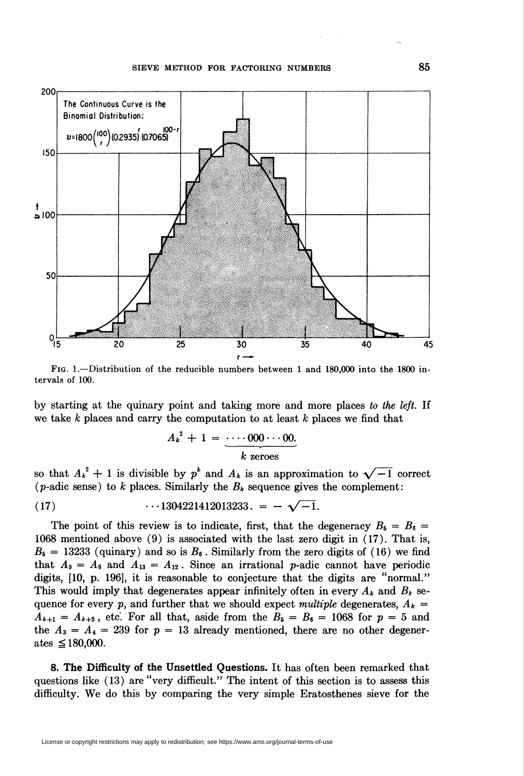## SIEVE METHOD FOR FACTORING NUMBERS 85



Fig. 1.—Distribution of the reducible numbers between 1 and 180,000 into the 1800 intervals of 100.

by starting at the quinary point and taking more and more places to the left. If we take  $k$  places and carry the computation to at least  $k$  places we find that

$$
A_k^2 + 1 = \underbrace{\cdots 000 \cdots 00}_{k \text{ zeroes}}.
$$

so that  $A_k^2 + 1$  is divisible by  $p^k$  and  $A_k$  is an approximation to  $\sqrt{-1}$  correct (*p*-adic sense) to k places. Similarly the  $B_k$  sequence gives the complement:

(17) 
$$
\cdots 1304221412013233. = -\sqrt{-1}.
$$

The point of this review is to indicate, first, that the degeneracy  $B_6 = B_6 =$ 1068 mentioned above (9) is associated with the last zero digit in (17). That is,  $B_5 = 13233$  (quinary) and so is  $B_6$ . Similarly from the zero digits of (16) we find that  $A_9 = A_8$  and  $A_{13} = A_{12}$ . Since an irrational p-adic cannot have periodic digits, [10, p. 196], it is reasonable to conjecture that the digits are "normal." This would imply that degenerates appear infinitely often in every  $A_k$  and  $B_k$  sequence for every p, and further that we should expect multiple degenerates,  $A_k =$  $A_{k+1} = A_{k+2}$ , etc. For all that, aside from the  $B_5 = B_6 = 1068$  for  $p = 5$  and the  $A_3 = A_4 = 239$  for  $p = 13$  already mentioned, there are no other degenerates  $\leq$ 180,000.

8. The Difficulty of the Unsettled Questions. It has often been remarked that questions like (13) are "very difficult." The intent of this section is to assess this difficulty. We do this by comparing the very simple Eratosthenes sieve for the